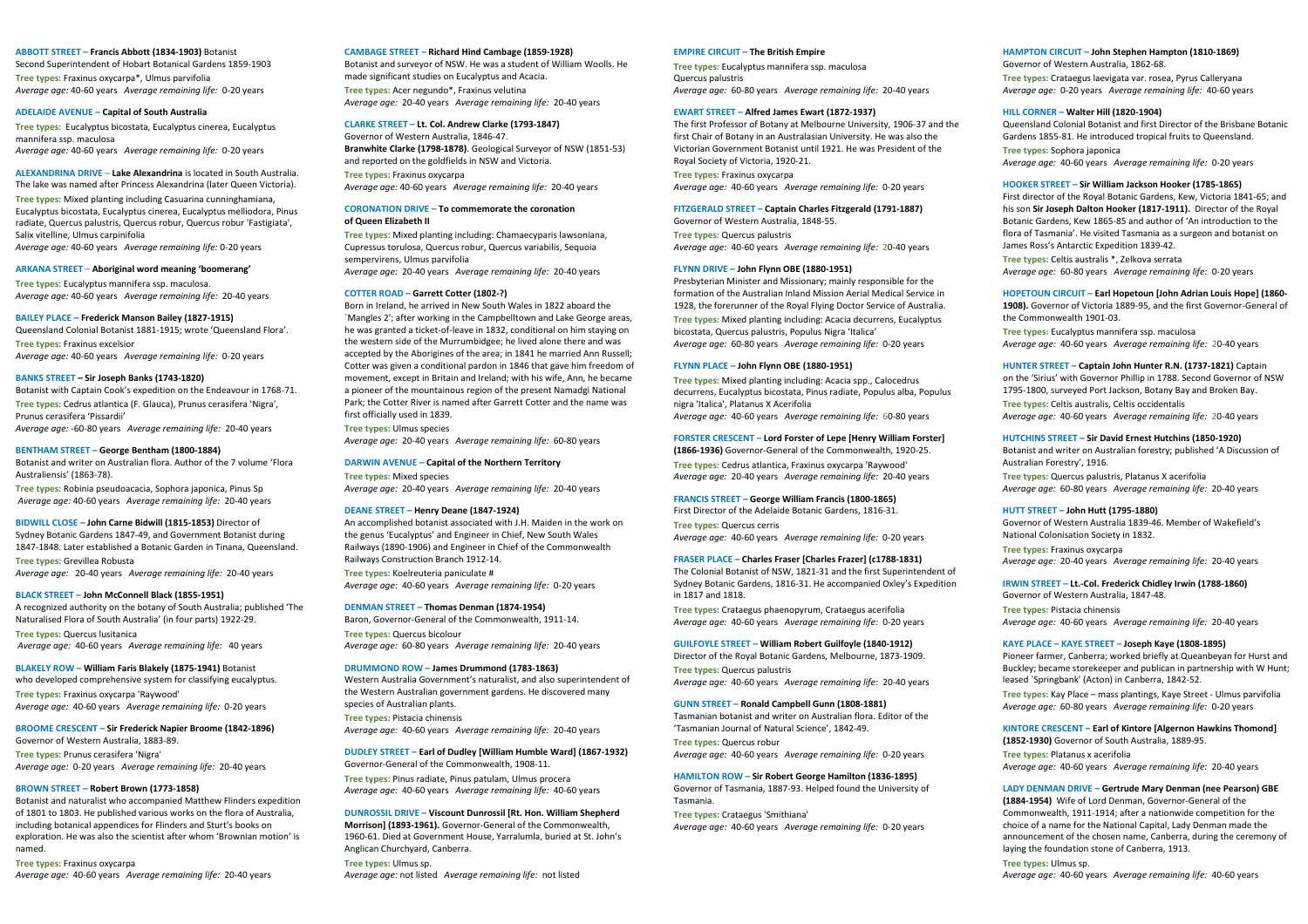### **ABBOTT STREET – Francis Abbott (1834-1903)** Botanist

Second Superintendent of Hobart Botanical Gardens 1859-1903 **Tree types:** Fraxinus oxycarpa\*, Ulmus parvifolia *Average age:* 40-60 years *Average remaining life:* 0-20 years

#### **ADELAIDE AVENUE – Capital of South Australia**

**Tree types:** Eucalyptus bicostata, Eucalyptus cinerea, Eucalyptus mannifera ssp. maculosa *Average age:* 40-60 years *Average remaining life:* 0-20 years

### **ALEXANDRINA DRIVE** – **Lake Alexandrina** is located in South Australia. The lake was named after Princess Alexandrina (later Queen Victoria).

**Tree types:** Mixed planting including Casuarina cunninghamiana, Eucalyptus bicostata, Eucalyptus cinerea, Eucalyptus melliodora, Pinus radiate, Quercus palustris, Quercus robur, Quercus robur 'Fastigiata', Salix vitelline, Ulmus carpinifolia

*Average age:* 40-60 years *Average remaining life:* 0-20 years

## **ARKANA STREET** – **Aboriginal word meaning 'boomerang'**

**Tree types:** Eucalyptus mannifera ssp. maculosa. *Average age:* 40-60 years *Average remaining life:* 20-40 years

## **BAILEY PLACE – Frederick Manson Bailey (1827-1915)**

Queensland Colonial Botanist 1881-1915; wrote 'Queensland Flora'. **Tree types:** Fraxinus excelsior

*Average age:* 40-60 years *Average remaining life:* 0-20 years

#### **BANKS STREET – Sir Joseph Banks (1743-1820)**

Botanist with Captain Cook's expedition on the Endeavour in 1768-71. **Tree types:** Cedrus atlantica (F. Glauca), Prunus cerasifera 'Nigra', Prunus cerasifera 'Pissardii' *Average age:* -60-80 years *Average remaining life:* 20-40 years

#### **BENTHAM STREET – George Bentham (1800-1884)**

Botanist and writer on Australian flora. Author of the 7 volume 'Flora Australiensis' (1863-78).

**Tree types:** Robinia pseudoacacia, Sophora japonica, Pinus Sp *Average age:* 40-60 years *Average remaining life:* 20-40 years

#### **BIDWILL CLOSE – John Carne Bidwill (1815-1853)** Director of

Sydney Botanic Gardens 1847-49, and Government Botanist during 1847-1848. Later established a Botanic Garden in Tinana, Queensland. **Tree types:** Grevillea Robusta

*Average age:* 20-40 years *Average remaining life:* 20-40 years

## **BLACK STREET – John McConnell Black (1855-1951)**

A recognized authority on the botany of South Australia; published 'The Naturalised Flora of South Australia' (in four parts) 1922-29.

**Tree types:** Quercus lusitanica *Average age:* 40-60 years *Average remaining life:* 40 years

# **BLAKELY ROW – William Faris Blakely (1875-1941)** Botanist

who developed comprehensive system for classifying eucalyptus. **Tree types:** Fraxinus oxycarpa 'Raywood' *Average age:* 40-60 years *Average remaining life:* 0-20 years

## **BROOME CRESCENT – Sir Frederick Napier Broome (1842-1896)**

Governor of Western Australia, 1883-89. **Tree types:** Prunus cerasifera 'Nigra' *Average age:* 0-20 years *Average remaining life:* 20-40 years

# **BROWN STREET – Robert Brown (1773-1858)**

Botanist and naturalist who accompanied Matthew Flinders expedition of 1801 to 1803. He published various works on the flora of Australia, including botanical appendices for Flinders and Sturt's books on exploration. He was also the scientist after whom 'Brownian motion' is named.

**Tree types:** Fraxinus oxycarpa *Average age:* 40-60 years *Average remaining life:* 20-40 years

#### **CAMBAGE STREET – Richard Hind Cambage (1859-1928)**

Botanist and surveyor of NSW. He was a student of William Woolls. He made significant studies on Eucalyptus and Acacia. **Tree types:** Acer negundo\*, Fraxinus velutina *Average age:* 20-40 years *Average remaining life:* 20-40 years

### **CLARKE STREET – Lt. Col. Andrew Clarke (1793-1847)**

Governor of Western Australia, 1846-47. **Branwhite Clarke (1798-1878)**. Geological Surveyor of NSW (1851-53) and reported on the goldfields in NSW and Victoria.

**Tree types:** Fraxinus oxycarpa *Average age:* 40-60 years *Average remaining life:* 20-40 years

## **CORONATION DRIVE – To commemorate the coronation of Queen Elizabeth II**

**Tree types:** Mixed planting including: Chamaecyparis lawsoniana, Cupressus torulosa, Quercus robur, Quercus variabilis, Sequoia sempervirens, Ulmus parvifolia

*Average age:* 20-40 years *Average remaining life:* 20-40 years

### **COTTER ROAD – Garrett Cotter (1802-?)**

Born in Ireland, he arrived in New South Wales in 1822 aboard the `Mangles 2'; after working in the Campbelltown and Lake George areas, he was granted a ticket-of-leave in 1832, conditional on him staying on the western side of the Murrumbidgee; he lived alone there and was accepted by the Aborigines of the area; in 1841 he married Ann Russell; Cotter was given a conditional pardon in 1846 that gave him freedom of movement, except in Britain and Ireland; with his wife, Ann, he became a pioneer of the mountainous region of the present Namadgi National Park; the Cotter River is named after Garrett Cotter and the name was first officially used in 1839.

**Tree types:** Ulmus species

*Average age:* 20-40 years *Average remaining life:* 60-80 years

#### **DARWIN AVENUE – Capital of the Northern Territory**

**Tree types:** Mixed species *Average age:* 20-40 years *Average remaining life:* 20-40 years

#### **DEANE STREET – Henry Deane (1847-1924)**

An accomplished botanist associated with J.H. Maiden in the work on the genus 'Eucalyptus' and Engineer in Chief, New South Wales Railways (1890-1906) and Engineer in Chief of the Commonwealth Railways Construction Branch 1912-14.

**Tree types:** Koelreuteria paniculate #

*Average age:* 40-60 years *Average remaining life:* 0-20 years

### **DENMAN STREET – Thomas Denman (1874-1954)**

Baron, Governor-General of the Commonwealth, 1911-14.

**Tree types:** Quercus bicolour *Average age:* 60-80 years *Average remaining life:* 20-40 years

### **DRUMMOND ROW – James Drummond (1783-1863)**

Western Australia Government's naturalist, and also superintendent of the Western Australian government gardens. He discovered many species of Australian plants.

**Tree types:** Pistacia chinensis

*Average age:* 40-60 years *Average remaining life:* 20-40 years

**DUDLEY STREET – Earl of Dudley [William Humble Ward] (1867-1932)** Governor-General of the Commonwealth, 1908-11.

**Tree types:** Pinus radiate, Pinus patulam, Ulmus procera *Average age:* 40-60 years *Average remaining life:* 40-60 years

#### **DUNROSSIL DRIVE – Viscount Dunrossil [Rt. Hon. William Shepherd**

**Morrison] (1893-1961).** Governor-General of the Commonwealth, 1960-61. Died at Government House, Yarralumla, buried at St. John's Anglican Churchyard, Canberra. **Tree types:** Ulmus sp.

*Average age:* not listed *Average remaining life:* not listed

# **EMPIRE CIRCUIT – The British Empire**

**Tree types:** Eucalyptus mannifera ssp. maculosa Quercus palustris *Average age:* 60-80 years *Average remaining life:* 20-40 years

#### **EWART STREET – Alfred James Ewart (1872-1937)**

The first Professor of Botany at Melbourne University, 1906-37 and the first Chair of Botany in an Australasian University. He was also the Victorian Government Botanist until 1921. He was President of the Royal Society of Victoria, 1920-21.

**Tree types:** Fraxinus oxycarpa *Average age:* 40-60 years *Average remaining life:* 0-20 years

#### **FITZGERALD STREET – Captain Charles Fitzgerald (1791-1887)**

Governor of Western Australia, 1848-55. **Tree types:** Quercus palustris

*Average age:* 40-60 years *Average remaining life:* 20-40 years

### **FLYNN DRIVE – John Flynn OBE (1880-1951)**

Presbyterian Minister and Missionary; mainly responsible for the formation of the Australian Inland Mission Aerial Medical Service in 1928, the forerunner of the Royal Flying Doctor Service of Australia.

**Tree types:** Mixed planting including: Acacia decurrens, Eucalyptus bicostata, Quercus palustris, Populus Nigra 'Italica' *Average age:* 60-80 years *Average remaining life:* 0-20 years

#### **FLYNN PLACE – John Flynn OBE (1880-1951)**

**Tree types:** Mixed planting including: Acacia spp., Calocedrus decurrens, Eucalyptus bicostata, Pinus radiate, Populus alba, Populus nigra 'Italica', Platanus X Acerifolia

*Average age:* 40-60 years *Average remaining life:* 60-80 years

#### **FORSTER CRESCENT – Lord Forster of Lepe [Henry William Forster] (1866-1936)** Governor-General of the Commonwealth, 1920-25.

**Tree types:** Cedrus atlantica, Fraxinus oxycarpa 'Raywood' *Average age:* 20-40 years *Average remaining life:* 20-40 years

#### **FRANCIS STREET – George William Francis (1800-1865)**

First Director of the Adelaide Botanic Gardens, 1816-31.

**Tree types:** Quercus cerris *Average age:* 40-60 years *Average remaining life:* 0-20 years

## **FRASER PLACE – Charles Fraser [Charles Frazer] (c1788-1831)**

The Colonial Botanist of NSW, 1821-31 and the first Superintendent of Sydney Botanic Gardens, 1816-31. He accompanied Oxley's Expedition in 1817 and 1818.

**Tree types:** Crataegus phaenopyrum, Crataegus acerifolia *Average age:* 40-60 years *Average remaining life:* 0-20 years

#### **GUILFOYLE STREET – William Robert Guilfoyle (1840-1912)**

Director of the Royal Botanic Gardens, Melbourne, 1873-1909. **Tree types:** Quercus palustris

*Average age:* 40-60 years *Average remaining life:* 20-40 years

#### **GUNN STREET – Ronald Campbell Gunn (1808-1881)**

Tasmanian botanist and writer on Australian flora. Editor of the 'Tasmanian Journal of Natural Science', 1842-49.

**Tree types:** Quercus robur *Average age:* 40-60 years *Average remaining life:* 0-20 years

#### **HAMILTON ROW – Sir Robert George Hamilton (1836-1895)**

Governor of Tasmania, 1887-93. Helped found the University of Tasmania.

**Tree types:** Crataegus 'Smithiana'

*Average age:* 40-60 years *Average remaining life:* 0-20 years

# **HAMPTON CIRCUIT – John Stephen Hampton (1810-1869)**

Governor of Western Australia, 1862-68.

**Tree types:** Crataegus laevigata var. rosea, Pyrus Calleryana *Average age:* 0-20 years *Average remaining life:* 40-60 years

## **HILL CORNER – Walter Hill (1820-1904)**

Queensland Colonial Botanist and first Director of the Brisbane Botanic Gardens 1855-81. He introduced tropical fruits to Queensland. **Tree types:** Sophora japonica *Average age:* 40-60 years *Average remaining life:* 0-20 years

# **HOOKER STREET – Sir William Jackson Hooker (1785-1865)**

First director of the Royal Botanic Gardens, Kew, Victoria 1841-65; and his son **Sir Joseph Dalton Hooker (1817-1911).** Director of the Royal Botanic Gardens, Kew 1865-85 and author of 'An introduction to the flora of Tasmania'. He visited Tasmania as a surgeon and botanist on James Ross's Antarctic Expedition 1839-42.

**Tree types:** Celtis australis \*, Zelkova serrata *Average age:* 60-80 years *Average remaining life:* 0-20 years

## **HOPETOUN CIRCUIT – Earl Hopetoun [John Adrian Louis Hope] (1860- 1908).** Governor of Victoria 1889-95, and the first Governor-General of the Commonwealth 1901-03.

**Tree types:** Eucalyptus mannifera ssp. maculosa *Average age:* 40-60 years *Average remaining life:* 20-40 years

**HUNTER STREET – Captain John Hunter R.N. (1737-1821)** Captain on the 'Sirius' with Governor Phillip in 1788. Second Governor of NSW 1795-1800, surveyed Port Jackson, Botany Bay and Broken Bay. **Tree types:** Celtis australis, Celtis occidentalis *Average age:* 40-60 years *Average remaining life:* 20-40 years

**HUTCHINS STREET – Sir David Ernest Hutchins (1850-1920)** Botanist and writer on Australian forestry; published 'A Discussion of Australian Forestry', 1916.

**Tree types:** Quercus palustris, Platanus X acerifolia *Average age:* 60-80 years *Average remaining life:* 20-40 years

## **HUTT STREET – John Hutt (1795-1880)**

Governor of Western Australia 1839-46. Member of Wakefield's National Colonisation Society in 1832. **Tree types:** Fraxinus oxycarpa *Average age:* 20-40 years *Average remaining life:* 20-40 years

**IRWIN STREET – Lt.-Col. Frederick Chidley Irwin (1788-1860)** Governor of Western Australia, 1847-48. **Tree types:** Pistacia chinensis *Average age:* 40-60 years *Average remaining life:* 20-40 years

**KAYE PLACE – KAYE STREET – Joseph Kaye (1808-1895)** Pioneer farmer, Canberra; worked briefly at Queanbeyan for Hurst and Buckley; became storekeeper and publican in partnership with W Hunt; leased `Springbank' (Acton) in Canberra, 1842-52.

**Tree types:** Kay Place – mass plantings, Kaye Street - Ulmus parvifolia *Average age:* 60-80 years *Average remaining life:* 0-20 years

**KINTORE CRESCENT – Earl of Kintore [Algernon Hawkins Thomond] (1852-1930)** Governor of South Australia, 1889-95.

**Tree types:** Platanus x acerifolia *Average age:* 40-60 years *Average remaining life:* 20-40 years

### **LADY DENMAN DRIVE – Gertrude Mary Denman (nee Pearson) GBE (1884-1954)** Wife of Lord Denman, Governor-General of the

Commonwealth, 1911-1914; after a nationwide competition for the choice of a name for the National Capital, Lady Denman made the announcement of the chosen name, Canberra, during the ceremony of laying the foundation stone of Canberra, 1913.

**Tree types:** Ulmus sp.

*Average age:* 40-60 years *Average remaining life:* 40-60 years